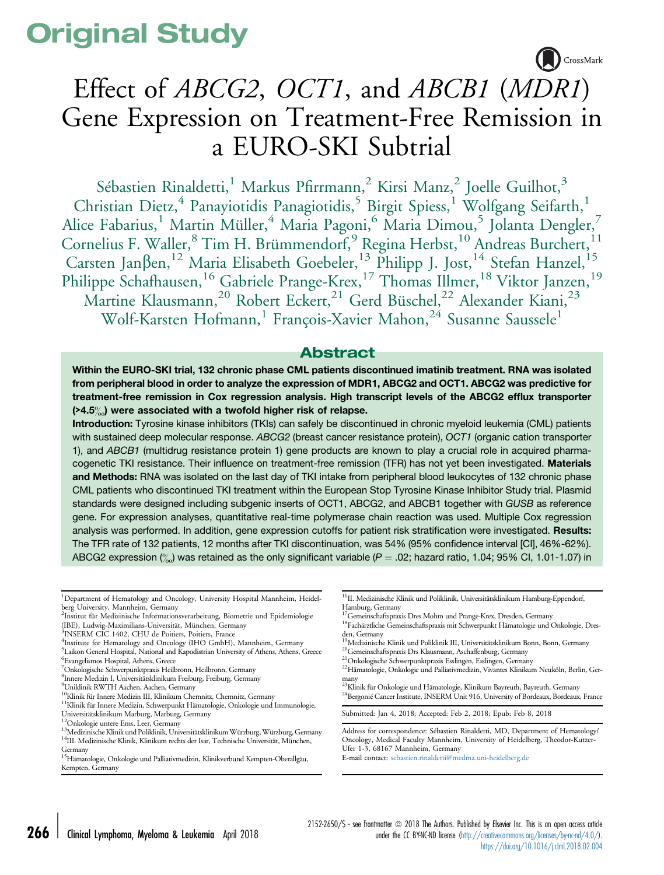# Original Study



# Effect of ABCG2, OCT1, and ABCB1 (MDR1) Gene Expression on Treatment-Free Remission in a EURO-SKI Subtrial

Sébastien Rinaldetti,<sup>1</sup> Markus Pfirrmann,<sup>2</sup> Kirsi Manz,<sup>2</sup> Joelle Guilhot,<sup>3</sup> Christian Dietz,<sup>4</sup> Panayiotidis Panagiotidis,<sup>5</sup> Birgit Spiess,<sup>1</sup> Wolfgang Seifarth,<sup>1</sup> Alice Fabarius,<sup>1</sup> Martin Müller,<sup>4</sup> Maria Pagoni,<sup>6</sup> Maria Dimou,<sup>5</sup> Jolanta Dengler,<sup>7</sup> Cornelius F. Waller,<sup>8</sup> Tim H. Brümmendorf,<sup>9</sup> Regina Herbst,<sup>10</sup> Andreas Burchert,<sup>11</sup> Carsten Janßen,<sup>12</sup> Maria Elisabeth Goebeler,<sup>13</sup> Philipp J. Jost,<sup>14</sup> Stefan Hanzel,<sup>15</sup> Philippe Schafhausen,<sup>16</sup> Gabriele Prange-Krex,<sup>17</sup> Thomas Illmer,<sup>18</sup> Viktor Janzen,<sup>19</sup> Martine Klausmann,<sup>20</sup> Robert Eckert,<sup>21</sup> Gerd Büschel,<sup>22</sup> Alexander Kiani,<sup>23</sup> Wolf-Karsten Hofmann,<sup>1</sup> François-Xavier Mahon,<sup>24</sup> Susanne Saussele<sup>1</sup>

# Abstract

Within the EURO-SKI trial, 132 chronic phase CML patients discontinued imatinib treatment. RNA was isolated from peripheral blood in order to analyze the expression of MDR1, ABCG2 and OCT1. ABCG2 was predictive for treatment-free remission in Cox regression analysis. High transcript levels of the ABCG2 efflux transporter  $($ >4.5 $\%)$  were associated with a twofold higher risk of relapse.

Introduction: Tyrosine kinase inhibitors (TKIs) can safely be discontinued in chronic myeloid leukemia (CML) patients with sustained deep molecular response. ABCG2 (breast cancer resistance protein), OCT1 (organic cation transporter 1), and ABCB1 (multidrug resistance protein 1) gene products are known to play a crucial role in acquired pharmacogenetic TKI resistance. Their influence on treatment-free remission (TFR) has not yet been investigated. Materials and Methods: RNA was isolated on the last day of TKI intake from peripheral blood leukocytes of 132 chronic phase CML patients who discontinued TKI treatment within the European Stop Tyrosine Kinase Inhibitor Study trial. Plasmid standards were designed including subgenic inserts of OCT1, ABCG2, and ABCB1 together with GUSB as reference gene. For expression analyses, quantitative real-time polymerase chain reaction was used. Multiple Cox regression analysis was performed. In addition, gene expression cutoffs for patient risk stratification were investigated. Results: The TFR rate of 132 patients, 12 months after TKI discontinuation, was 54% (95% confidence interval [CI], 46%-62%). ABCG2 expression  $\binom{9}{20}$  was retained as the only significant variable (P = .02; hazard ratio, 1.04; 95% CI, 1.01-1.07) in

Submitted: Jan 4, 2018; Accepted: Feb 2, 2018; Epub: Feb 8, 2018

<sup>&</sup>lt;sup>1</sup>Department of Hematology and Oncology, University Hospital Mannheim, Heidelberg University, Mannheim, Germany

<sup>2</sup> Institut für Medizinische Informationsverarbeitung, Biometrie und Epidemiologie (IBE), Ludwig-Maximilians-Universität, München, Germany

<sup>&</sup>lt;sup>3</sup>INSERM CIC 1402, CHU de Poitiers, Poitiers, France

<sup>&</sup>lt;sup>4</sup>Institute for Hematology and Oncology (IHO GmbH), Mannheim, Germany

<sup>&</sup>lt;sup>5</sup>Laikon General Hospital, National and Kapodistrian University of Athens, Athens, Greece

<sup>6</sup> Evangelismos Hospital, Athens, Greece

<sup>7</sup> Onkologische Schwerpunktpraxis Heilbronn, Heilbronn, Germany

<sup>8</sup> Innere Medizin I, Universitätsklinikum Freiburg, Freiburg, Germany 9 Uniklinik RWTH Aachen, Aachen, Germany

<sup>&</sup>lt;sup>10</sup>Klinik für Innere Medizin III, Klinikum Chemnitz, Chemnitz, Germany<br><sup>11</sup>Klinik für Innere Medizin, Schwerpunkt Hämatologie, Onkologie und Immunologie,

Universitätsklinikum Marburg, Marburg, Germany

<sup>13</sup> Ontereger<br>12 Ontere Ems, Leer, Germany 13 Medizinische Klinik und Poliklinikum Würzburg, Würzburg, Germany<br><sup>14</sup>III. Medizinische Klinik, Klinikum rechts der Isar, Technische Universität, München,

Germany<br><sup>15</sup>Hämatologie, Onkologie und Palliativmedizin, Klinikverbund Kempten-Oberallgäu, Kempten, Germany

<sup>&</sup>lt;sup>16</sup>II. Medizinische Klinik und Poliklinik, Universitätsklinikum Hamburg-Eppendorf, Hamburg, Germany<br><sup>17</sup>Gemeinschaftspraxis Dres Mohm und Prange-Krex, Dresden, Germany

 $18$ Fachärztliche Gemeinschaftspraxis mit Schwerpunkt Hämatologie und Onkologie, Dresden, Germany<br><sup>19</sup>Medizinische Klinik und Poliklinik III, Universitätsklinikum Bonn, Bonn, Germany

 $^{20}\rm{Geme}$ inschaftspraxis Drs Klausmann, Aschaffenburg, Germany  $^{21}\rm{On}k$ ologische Schwerpunktpraxis Esslingen, Esslingen, Germany  $^{22}\rm{Hämatologie}$ , Onkologie und Palliativmedizin, Vivantes Klinikum Neuköln, Berlin, Germa

many<br><sup>23</sup>Klinik für Onkologie und Hämatologie, Klinikum Bayreuth, Bayreuth, Germany<br><sup>24</sup>Bergonié Cancer Institute, INSERM Unit 916, University of Bordeaux, Bordeaux, France

Address for correspondence: Sébastien Rinaldetti, MD, Department of Hematology/ Oncology, Medical Faculty Mannheim, University of Heidelberg, Theodor-Kutzer-Ufer 1-3, 68167 Mannheim, Germany

E-mail contact: [sebastien.rinaldetti@medma.uni-heidelberg.de](mailto:sebastien.rinaldetti@medma.uni-heidelberg.de)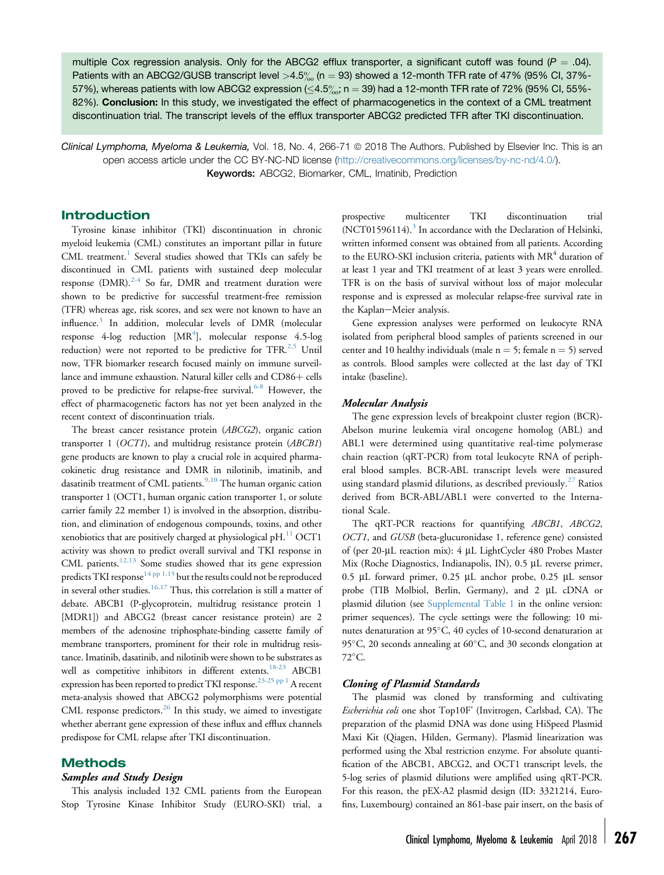multiple Cox regression analysis. Only for the ABCG2 efflux transporter, a significant cutoff was found ( $P = .04$ ). Patients with an ABCG2/GUSB transcript level  $>4.5\%$  (n = 93) showed a 12-month TFR rate of 47% (95% CI, 37%-57%), whereas patients with low ABCG2 expression ( $\leq$ 4.5‰; n  $=$  39) had a 12-month TFR rate of 72% (95% Cl, 55%-82%). Conclusion: In this study, we investigated the effect of pharmacogenetics in the context of a CML treatment discontinuation trial. The transcript levels of the efflux transporter ABCG2 predicted TFR after TKI discontinuation.

Clinical Lymphoma, Myeloma & Leukemia, Vol. 18, No. 4, 266-71 © 2018 The Authors. Published by Elsevier Inc. This is an open access article under the CC BY-NC-ND license (<http://creativecommons.org/licenses/by-nc-nd/4.0/>). Keywords: ABCG2, Biomarker, CML, Imatinib, Prediction

## Introduction

Tyrosine kinase inhibitor (TKI) discontinuation in chronic myeloid leukemia (CML) constitutes an important pillar in future CML treatment.<sup>[1](#page-5-0)</sup> Several studies showed that TKIs can safely be discontinued in CML patients with sustained deep molecular response (DMR). $2-4$  So far, DMR and treatment duration were shown to be predictive for successful treatment-free remission (TFR) whereas age, risk scores, and sex were not known to have an influence.<sup>[3](#page-5-0)</sup> In addition, molecular levels of DMR (molecular response [4](#page-5-0)- $\log$  reduction [MR<sup>4</sup>], molecular response 4.5- $\log$ reduction) were not reported to be predictive for  $TFR$ <sup>[2,5](#page-5-0)</sup> Until now, TFR biomarker research focused mainly on immune surveillance and immune exhaustion. Natural killer cells and CD86+ cells proved to be predictive for relapse-free survival.<sup>[6-8](#page-5-0)</sup> However, the effect of pharmacogenetic factors has not yet been analyzed in the recent context of discontinuation trials.

The breast cancer resistance protein (ABCG2), organic cation transporter 1 (OCT1), and multidrug resistance protein (ABCB1) gene products are known to play a crucial role in acquired pharmacokinetic drug resistance and DMR in nilotinib, imatinib, and dasatinib treatment of CML patients.<sup>[9,10](#page-5-0)</sup> The human organic cation transporter 1 (OCT1, human organic cation transporter 1, or solute carrier family 22 member 1) is involved in the absorption, distribution, and elimination of endogenous compounds, toxins, and other xenobiotics that are positively charged at physiological pH. $^{11}$  $^{11}$  $^{11}$  OCT1 activity was shown to predict overall survival and TKI response in CML patients. $12,13$  Some studies showed that its gene expression predicts TKI response<sup>[14 pp 1,15](#page-5-0)</sup> but the results could not be reproduced in several other studies.<sup>[16,17](#page-5-0)</sup> Thus, this correlation is still a matter of debate. ABCB1 (P-glycoprotein, multidrug resistance protein 1 [MDR1]) and ABCG2 (breast cancer resistance protein) are 2 members of the adenosine triphosphate-binding cassette family of membrane transporters, prominent for their role in multidrug resistance. Imatinib, dasatinib, and nilotinib were shown to be substrates as well as competitive inhibitors in different extents.<sup>[18-23](#page-5-0)</sup> ABCB1 expression has been reported to predict TKI response.<sup>23-25</sup>  $PP$ <sup>1</sup> A recent meta-analysis showed that ABCG2 polymorphisms were potential CML response predictors.<sup>[26](#page-5-0)</sup> In this study, we aimed to investigate whether aberrant gene expression of these influx and efflux channels predispose for CML relapse after TKI discontinuation.

## Methods

## Samples and Study Design

This analysis included 132 CML patients from the European Stop Tyrosine Kinase Inhibitor Study (EURO-SKI) trial, a prospective multicenter TKI discontinuation trial  $(NCT01596114).$ <sup>[3](#page-5-0)</sup> In accordance with the Declaration of Helsinki, written informed consent was obtained from all patients. According to the EURO-SKI inclusion criteria, patients with  $MR<sup>4</sup>$  duration of at least 1 year and TKI treatment of at least 3 years were enrolled. TFR is on the basis of survival without loss of major molecular response and is expressed as molecular relapse-free survival rate in the Kaplan-Meier analysis.

Gene expression analyses were performed on leukocyte RNA isolated from peripheral blood samples of patients screened in our center and 10 healthy individuals (male  $n = 5$ ; female  $n = 5$ ) served as controls. Blood samples were collected at the last day of TKI intake (baseline).

#### Molecular Analysis

The gene expression levels of breakpoint cluster region (BCR)- Abelson murine leukemia viral oncogene homolog (ABL) and ABL1 were determined using quantitative real-time polymerase chain reaction (qRT-PCR) from total leukocyte RNA of peripheral blood samples. BCR-ABL transcript levels were measured using standard plasmid dilutions, as described previously.<sup>[27](#page-5-0)</sup> Ratios derived from BCR-ABL/ABL1 were converted to the International Scale.

The qRT-PCR reactions for quantifying ABCB1, ABCG2, OCT1, and GUSB (beta-glucuronidase 1, reference gene) consisted of (per 20-µL reaction mix): 4 µL LightCycler 480 Probes Master Mix (Roche Diagnostics, Indianapolis, IN), 0.5 µL reverse primer, 0.5 µL forward primer, 0.25 µL anchor probe, 0.25 µL sensor probe (TIB Molbiol, Berlin, Germany), and 2 µL cDNA or plasmid dilution (see Supplemental Table 1 in the online version: primer sequences). The cycle settings were the following: 10 minutes denaturation at 95°C, 40 cycles of 10-second denaturation at 95 $^{\circ}$ C, 20 seconds annealing at 60 $^{\circ}$ C, and 30 seconds elongation at  $72^{\circ}$ C.

### Cloning of Plasmid Standards

The plasmid was cloned by transforming and cultivating Escherichia coli one shot Top10F' (Invitrogen, Carlsbad, CA). The preparation of the plasmid DNA was done using HiSpeed Plasmid Maxi Kit (Qiagen, Hilden, Germany). Plasmid linearization was performed using the Xbal restriction enzyme. For absolute quantification of the ABCB1, ABCG2, and OCT1 transcript levels, the 5-log series of plasmid dilutions were amplified using qRT-PCR. For this reason, the pEX-A2 plasmid design (ID: 3321214, Eurofins, Luxembourg) contained an 861-base pair insert, on the basis of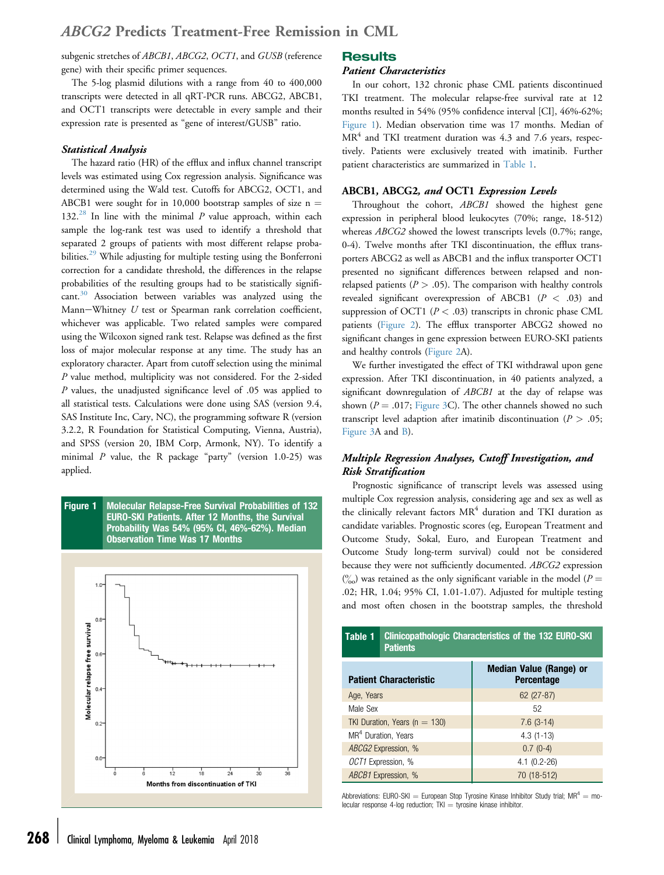# ABCG2 Predicts Treatment-Free Remission in CML

subgenic stretches of ABCB1, ABCG2, OCT1, and GUSB (reference gene) with their specific primer sequences.

The 5-log plasmid dilutions with a range from 40 to 400,000 transcripts were detected in all qRT-PCR runs. ABCG2, ABCB1, and OCT1 transcripts were detectable in every sample and their expression rate is presented as "gene of interest/GUSB" ratio.

## Statistical Analysis

The hazard ratio (HR) of the efflux and influx channel transcript levels was estimated using Cox regression analysis. Significance was determined using the Wald test. Cutoffs for ABCG2, OCT1, and ABCB1 were sought for in 10,000 bootstrap samples of size  $n =$ 132.<sup>[28](#page-5-0)</sup> In line with the minimal  $P$  value approach, within each sample the log-rank test was used to identify a threshold that separated 2 groups of patients with most different relapse proba-bilities.<sup>[29](#page-5-0)</sup> While adjusting for multiple testing using the Bonferroni correction for a candidate threshold, the differences in the relapse probabilities of the resulting groups had to be statistically signifi-cant.<sup>[30](#page-5-0)</sup> Association between variables was analyzed using the Mann-Whitney  $U$  test or Spearman rank correlation coefficient, whichever was applicable. Two related samples were compared using the Wilcoxon signed rank test. Relapse was defined as the first loss of major molecular response at any time. The study has an exploratory character. Apart from cutoff selection using the minimal P value method, multiplicity was not considered. For the 2-sided P values, the unadjusted significance level of .05 was applied to all statistical tests. Calculations were done using SAS (version 9.4, SAS Institute Inc, Cary, NC), the programming software R (version 3.2.2, R Foundation for Statistical Computing, Vienna, Austria), and SPSS (version 20, IBM Corp, Armonk, NY). To identify a minimal  $P$  value, the R package "party" (version 1.0-25) was applied.





# **Results**

#### Patient Characteristics

In our cohort, 132 chronic phase CML patients discontinued TKI treatment. The molecular relapse-free survival rate at 12 months resulted in 54% (95% confidence interval [CI], 46%-62%; Figure 1). Median observation time was 17 months. Median of  $MR<sup>4</sup>$  and TKI treatment duration was 4.3 and 7.6 years, respectively. Patients were exclusively treated with imatinib. Further patient characteristics are summarized in Table 1.

#### ABCB1, ABCG2, and OCT1 Expression Levels

Throughout the cohort, ABCB1 showed the highest gene expression in peripheral blood leukocytes (70%; range, 18-512) whereas *ABCG2* showed the lowest transcripts levels (0.7%; range, 0-4). Twelve months after TKI discontinuation, the efflux transporters ABCG2 as well as ABCB1 and the influx transporter OCT1 presented no significant differences between relapsed and nonrelapsed patients ( $P > .05$ ). The comparison with healthy controls revealed significant overexpression of ABCB1 (P < .03) and suppression of OCT1 ( $P < .03$ ) transcripts in chronic phase CML patients [\(Figure 2\)](#page-3-0). The efflux transporter ABCG2 showed no significant changes in gene expression between EURO-SKI patients and healthy controls ([Figure 2](#page-3-0)A).

We further investigated the effect of TKI withdrawal upon gene expression. After TKI discontinuation, in 40 patients analyzed, a significant downregulation of ABCB1 at the day of relapse was shown ( $P = .017$ ; [Figure 3](#page-3-0)C). The other channels showed no such transcript level adaption after imatinib discontinuation ( $P > .05$ ; [Figure 3](#page-4-0)A and [B\)](#page-3-0).

# Multiple Regression Analyses, Cutoff Investigation, and Risk Stratification

Prognostic significance of transcript levels was assessed using multiple Cox regression analysis, considering age and sex as well as the clinically relevant factors  $MR<sup>4</sup>$  duration and TKI duration as candidate variables. Prognostic scores (eg, European Treatment and Outcome Study, Sokal, Euro, and European Treatment and Outcome Study long-term survival) could not be considered because they were not sufficiently documented. ABCG2 expression  $\binom{0}{00}$  was retained as the only significant variable in the model (P = .02; HR, 1.04; 95% CI, 1.01-1.07). Adjusted for multiple testing and most often chosen in the bootstrap samples, the threshold

| Table 1<br><b>Clinicopathologic Characteristics of the 132 EURO-SKI</b><br><b>Patients</b> |  |                                                     |
|--------------------------------------------------------------------------------------------|--|-----------------------------------------------------|
| <b>Patient Characteristic</b>                                                              |  | <b>Median Value (Range) or</b><br><b>Percentage</b> |
| Age, Years                                                                                 |  | $62(27-87)$                                         |
| Male Sex                                                                                   |  | 52                                                  |
| TKI Duration, Years ( $n = 130$ )                                                          |  | $7.6(3-14)$                                         |
| MR <sup>4</sup> Duration, Years                                                            |  | $4.3(1-13)$                                         |
| ABCG2 Expression, %                                                                        |  | $0.7(0-4)$                                          |
| OCT1 Expression, %                                                                         |  | $4.1 (0.2 - 26)$                                    |
| ABCB1 Expression, %                                                                        |  | 70 (18-512)                                         |

Abbreviations: EURO-SKI = European Stop Tyrosine Kinase Inhibitor Study trial;  $MR^4 = mo$ lecular response 4-log reduction;  $TKI =$  tyrosine kinase inhibitor.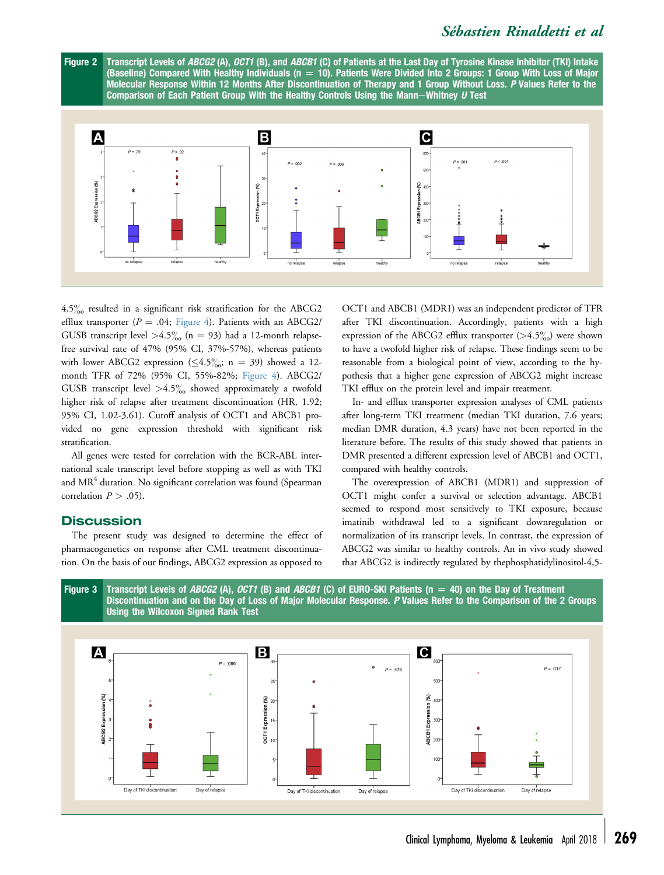# Sébastien Rinaldetti et al

<span id="page-3-0"></span>



 $4.5\%$  resulted in a significant risk stratification for the ABCG2 efflux transporter ( $P = .04$ ; [Figure 4\)](#page-4-0). Patients with an ABCG2/ GUSB transcript level  $>4.5\%$  (n = 93) had a 12-month relapsefree survival rate of 47% (95% CI, 37%-57%), whereas patients with lower ABCG2 expression ( $\leq 4.5\%$ <sub>0</sub>; n = 39) showed a 12month TFR of 72% (95% CI, 55%-82%; [Figure 4\)](#page-4-0). ABCG2/ GUSB transcript level  $>4.5\%$  showed approximately a twofold higher risk of relapse after treatment discontinuation (HR, 1.92; 95% CI, 1.02-3.61). Cutoff analysis of OCT1 and ABCB1 provided no gene expression threshold with significant risk stratification.

All genes were tested for correlation with the BCR-ABL international scale transcript level before stopping as well as with TKI and  $MR<sup>4</sup>$  duration. No significant correlation was found (Spearman correlation  $P > .05$ ).

# **Discussion**

The present study was designed to determine the effect of pharmacogenetics on response after CML treatment discontinuation. On the basis of our findings, ABCG2 expression as opposed to

OCT1 and ABCB1 (MDR1) was an independent predictor of TFR after TKI discontinuation. Accordingly, patients with a high expression of the ABCG2 efflux transporter  $(>4.5\%)$  were shown to have a twofold higher risk of relapse. These findings seem to be reasonable from a biological point of view, according to the hypothesis that a higher gene expression of ABCG2 might increase TKI efflux on the protein level and impair treatment.

In- and efflux transporter expression analyses of CML patients after long-term TKI treatment (median TKI duration, 7.6 years; median DMR duration, 4.3 years) have not been reported in the literature before. The results of this study showed that patients in DMR presented a different expression level of ABCB1 and OCT1, compared with healthy controls.

The overexpression of ABCB1 (MDR1) and suppression of OCT1 might confer a survival or selection advantage. ABCB1 seemed to respond most sensitively to TKI exposure, because imatinib withdrawal led to a significant downregulation or normalization of its transcript levels. In contrast, the expression of ABCG2 was similar to healthy controls. An in vivo study showed that ABCG2 is indirectly regulated by thephosphatidylinositol-4,5-



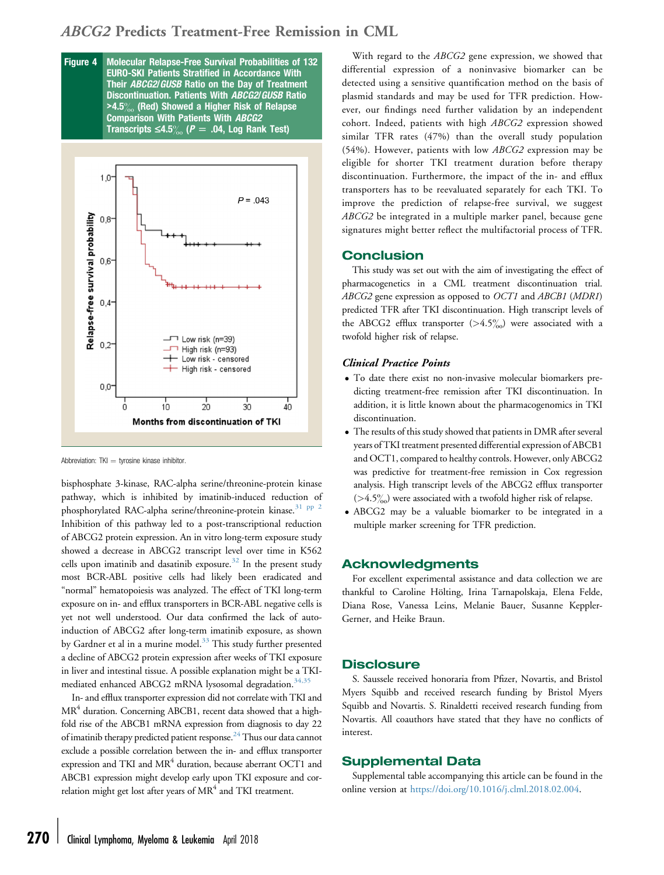# <span id="page-4-0"></span>ABCG2 Predicts Treatment-Free Remission in CML

Figure 4 Molecular Relapse-Free Survival Probabilities of 132 EURO-SKI Patients Stratified in Accordance With Their ABCG2/GUSB Ratio on the Day of Treatment Discontinuation. Patients With ABCG2/GUSB Ratio  $>4.5\%$  (Red) Showed a Higher Risk of Relapse Comparison With Patients With ABCG2 Transcripts  $\leq 4.5\%$  (P = .04, Log Rank Test)



Abbreviation:  $TKI =$  tyrosine kinase inhibitor.

bisphosphate 3-kinase, RAC-alpha serine/threonine-protein kinase pathway, which is inhibited by imatinib-induced reduction of phosphorylated RAC-alpha serine/threonine-protein kinase.<sup>31</sup> PP<sup>2</sup> Inhibition of this pathway led to a post-transcriptional reduction of ABCG2 protein expression. An in vitro long-term exposure study showed a decrease in ABCG2 transcript level over time in K562 cells upon imatinib and dasatinib exposure. $32$  In the present study most BCR-ABL positive cells had likely been eradicated and "normal" hematopoiesis was analyzed. The effect of TKI long-term exposure on in- and efflux transporters in BCR-ABL negative cells is yet not well understood. Our data confirmed the lack of autoinduction of ABCG2 after long-term imatinib exposure, as shown by Gardner et al in a murine model.<sup>[33](#page-5-0)</sup> This study further presented a decline of ABCG2 protein expression after weeks of TKI exposure in liver and intestinal tissue. A possible explanation might be a TKI-mediated enhanced ABCG2 mRNA lysosomal degradation.<sup>[34,35](#page-5-0)</sup>

In- and efflux transporter expression did not correlate with TKI and  $MR<sup>4</sup>$  duration. Concerning ABCB1, recent data showed that a highfold rise of the ABCB1 mRNA expression from diagnosis to day 22 of imatinib therapy predicted patient response. $^{24}$  Thus our data cannot exclude a possible correlation between the in- and efflux transporter expression and TKI and  $MR<sup>4</sup>$  duration, because aberrant OCT1 and ABCB1 expression might develop early upon TKI exposure and correlation might get lost after years of  $MR<sup>4</sup>$  and TKI treatment.

With regard to the ABCG2 gene expression, we showed that differential expression of a noninvasive biomarker can be detected using a sensitive quantification method on the basis of plasmid standards and may be used for TFR prediction. However, our findings need further validation by an independent cohort. Indeed, patients with high ABCG2 expression showed similar TFR rates (47%) than the overall study population (54%). However, patients with low ABCG2 expression may be eligible for shorter TKI treatment duration before therapy discontinuation. Furthermore, the impact of the in- and efflux transporters has to be reevaluated separately for each TKI. To improve the prediction of relapse-free survival, we suggest ABCG2 be integrated in a multiple marker panel, because gene signatures might better reflect the multifactorial process of TFR.

#### Conclusion

This study was set out with the aim of investigating the effect of pharmacogenetics in a CML treatment discontinuation trial. ABCG2 gene expression as opposed to OCT1 and ABCB1 (MDR1) predicted TFR after TKI discontinuation. High transcript levels of the ABCG2 efflux transporter  $(>4.5\%)$  were associated with a twofold higher risk of relapse.

## Clinical Practice Points

- To date there exist no non-invasive molecular biomarkers predicting treatment-free remission after TKI discontinuation. In addition, it is little known about the pharmacogenomics in TKI discontinuation.
- The results of this study showed that patients in DMR after several years of TKI treatment presented differential expression of ABCB1 and OCT1, compared to healthy controls. However, only ABCG2 was predictive for treatment-free remission in Cox regression analysis. High transcript levels of the ABCG2 efflux transporter  $(>4.5\%)$  were associated with a twofold higher risk of relapse.
- ABCG2 may be a valuable biomarker to be integrated in a multiple marker screening for TFR prediction.

## Acknowledgments

For excellent experimental assistance and data collection we are thankful to Caroline Hölting, Irina Tarnapolskaja, Elena Felde, Diana Rose, Vanessa Leins, Melanie Bauer, Susanne Keppler-Gerner, and Heike Braun.

## **Disclosure**

S. Saussele received honoraria from Pfizer, Novartis, and Bristol Myers Squibb and received research funding by Bristol Myers Squibb and Novartis. S. Rinaldetti received research funding from Novartis. All coauthors have stated that they have no conflicts of interest.

# Supplemental Data

Supplemental table accompanying this article can be found in the online version at <https://doi.org/10.1016/j.clml.2018.02.004>.